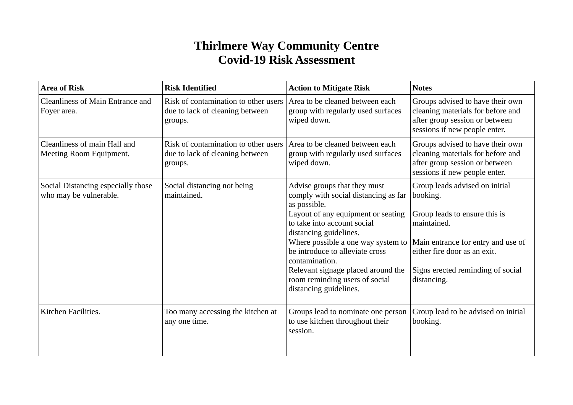## **Thirlmere Way Community Centre Covid-19 Risk Assessment**

| <b>Area of Risk</b>                                          | <b>Risk Identified</b>                                                             | <b>Action to Mitigate Risk</b>                                                                                                                                                                                                                                                                                                                                                   | <b>Notes</b>                                                                                                                                                                                                         |
|--------------------------------------------------------------|------------------------------------------------------------------------------------|----------------------------------------------------------------------------------------------------------------------------------------------------------------------------------------------------------------------------------------------------------------------------------------------------------------------------------------------------------------------------------|----------------------------------------------------------------------------------------------------------------------------------------------------------------------------------------------------------------------|
| <b>Cleanliness of Main Entrance and</b><br>Foyer area.       | Risk of contamination to other users<br>due to lack of cleaning between<br>groups. | Area to be cleaned between each<br>group with regularly used surfaces<br>wiped down.                                                                                                                                                                                                                                                                                             | Groups advised to have their own<br>cleaning materials for before and<br>after group session or between<br>sessions if new people enter.                                                                             |
| Cleanliness of main Hall and<br>Meeting Room Equipment.      | Risk of contamination to other users<br>due to lack of cleaning between<br>groups. | Area to be cleaned between each<br>group with regularly used surfaces<br>wiped down.                                                                                                                                                                                                                                                                                             | Groups advised to have their own<br>cleaning materials for before and<br>after group session or between<br>sessions if new people enter.                                                                             |
| Social Distancing especially those<br>who may be vulnerable. | Social distancing not being<br>maintained.                                         | Advise groups that they must<br>comply with social distancing as far<br>as possible.<br>Layout of any equipment or seating<br>to take into account social<br>distancing guidelines.<br>Where possible a one way system to<br>be introduce to alleviate cross<br>contamination.<br>Relevant signage placed around the<br>room reminding users of social<br>distancing guidelines. | Group leads advised on initial<br>booking.<br>Group leads to ensure this is<br>maintained.<br>Main entrance for entry and use of<br>either fire door as an exit.<br>Signs erected reminding of social<br>distancing. |
| Kitchen Facilities.                                          | Too many accessing the kitchen at<br>any one time.                                 | Groups lead to nominate one person<br>to use kitchen throughout their<br>session.                                                                                                                                                                                                                                                                                                | Group lead to be advised on initial<br>booking.                                                                                                                                                                      |